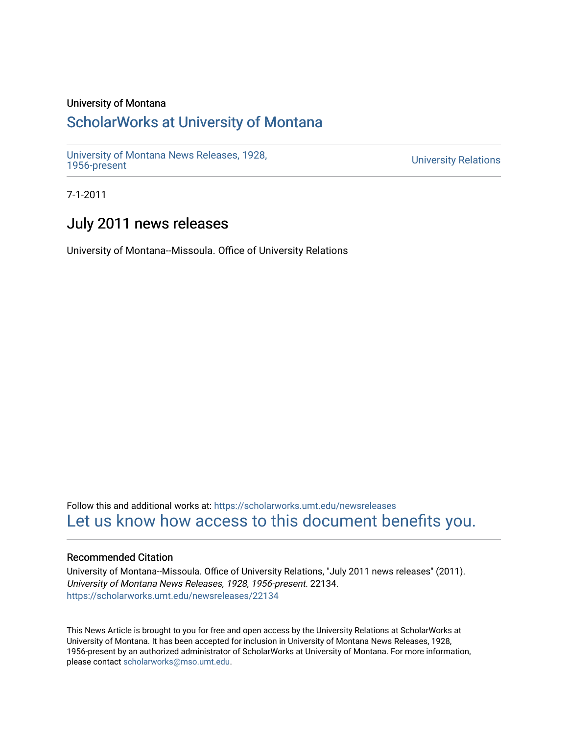# University of Montana

# [ScholarWorks at University of Montana](https://scholarworks.umt.edu/)

[University of Montana News Releases, 1928,](https://scholarworks.umt.edu/newsreleases) 

**University Relations** 

7-1-2011

# July 2011 news releases

University of Montana--Missoula. Office of University Relations

Follow this and additional works at: [https://scholarworks.umt.edu/newsreleases](https://scholarworks.umt.edu/newsreleases?utm_source=scholarworks.umt.edu%2Fnewsreleases%2F22134&utm_medium=PDF&utm_campaign=PDFCoverPages) [Let us know how access to this document benefits you.](https://goo.gl/forms/s2rGfXOLzz71qgsB2) 

# Recommended Citation

University of Montana--Missoula. Office of University Relations, "July 2011 news releases" (2011). University of Montana News Releases, 1928, 1956-present. 22134. [https://scholarworks.umt.edu/newsreleases/22134](https://scholarworks.umt.edu/newsreleases/22134?utm_source=scholarworks.umt.edu%2Fnewsreleases%2F22134&utm_medium=PDF&utm_campaign=PDFCoverPages) 

This News Article is brought to you for free and open access by the University Relations at ScholarWorks at University of Montana. It has been accepted for inclusion in University of Montana News Releases, 1928, 1956-present by an authorized administrator of ScholarWorks at University of Montana. For more information, please contact [scholarworks@mso.umt.edu.](mailto:scholarworks@mso.umt.edu)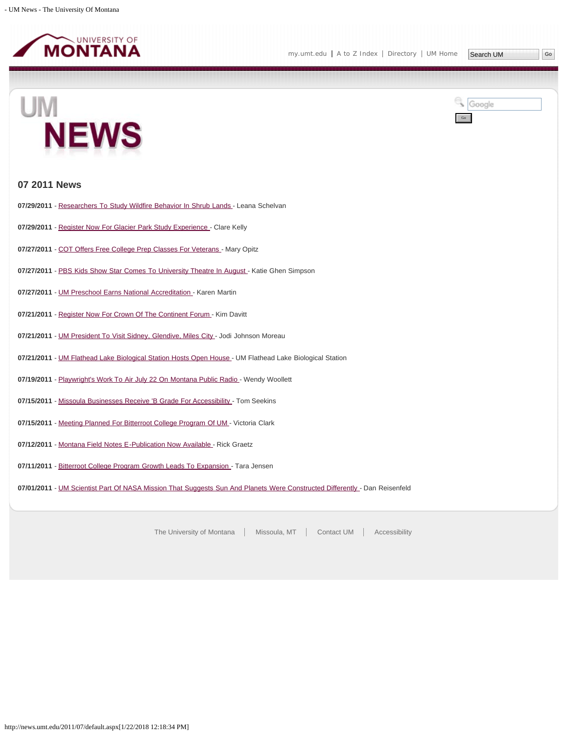

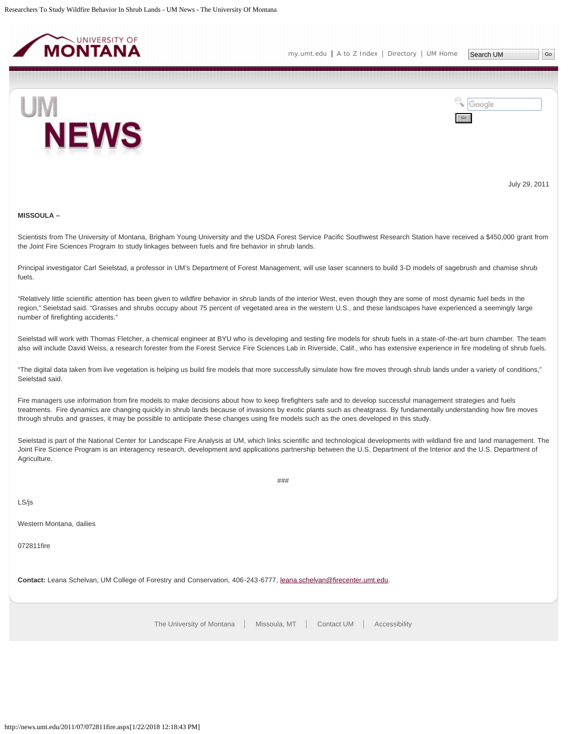<span id="page-2-0"></span>



July 29, 2011

#### **MISSOULA –**

Scientists from The University of Montana, Brigham Young University and the USDA Forest Service Pacific Southwest Research Station have received a \$450,000 grant from the Joint Fire Sciences Program to study linkages between fuels and fire behavior in shrub lands.

Principal investigator Carl Seielstad, a professor in UM's Department of Forest Management, will use laser scanners to build 3-D models of sagebrush and chamise shrub fuels.

"Relatively little scientific attention has been given to wildfire behavior in shrub lands of the interior West, even though they are some of most dynamic fuel beds in the region," Seielstad said. "Grasses and shrubs occupy about 75 percent of vegetated area in the western U.S., and these landscapes have experienced a seemingly large number of firefighting accidents."

Seielstad will work with Thomas Fletcher, a chemical engineer at BYU who is developing and testing fire models for shrub fuels in a state-of-the-art burn chamber. The team also will include David Weiss, a research forester from the Forest Service Fire Sciences Lab in Riverside, Calif., who has extensive experience in fire modeling of shrub fuels.

"The digital data taken from live vegetation is helping us build fire models that more successfully simulate how fire moves through shrub lands under a variety of conditions," Seielstad said.

Fire managers use information from fire models to make decisions about how to keep firefighters safe and to develop successful management strategies and fuels treatments. Fire dynamics are changing quickly in shrub lands because of invasions by exotic plants such as cheatgrass. By fundamentally understanding how fire moves through shrubs and grasses, it may be possible to anticipate these changes using fire models such as the ones developed in this study.

Seielstad is part of the National Center for Landscape Fire Analysis at UM, which links scientific and technological developments with wildland fire and land management. The Joint Fire Science Program is an interagency research, development and applications partnership between the U.S. Department of the Interior and the U.S. Department of Agriculture.

###

LS/js

Western Montana, dailies

072811fire

**Contact:** Leana Schelvan, UM College of Forestry and Conservation, 406-243-6777, [leana.schelvan@firecenter.umt.edu.](mailto:leana.schelvan@firecenter.umt.edu)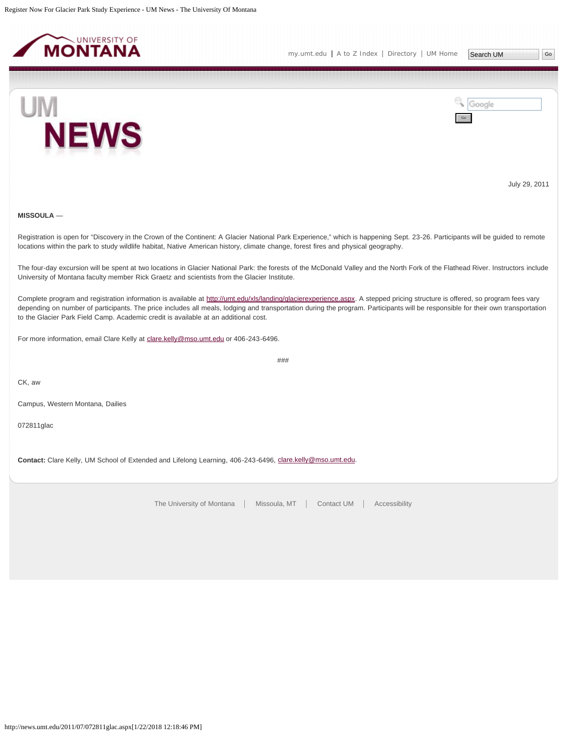<span id="page-3-0"></span>



July 29, 2011

# **MISSOULA** —

Registration is open for "Discovery in the Crown of the Continent: A Glacier National Park Experience," which is happening Sept. 23-26. Participants will be guided to remote locations within the park to study wildlife habitat, Native American history, climate change, forest fires and physical geography.

The four-day excursion will be spent at two locations in Glacier National Park: the forests of the McDonald Valley and the North Fork of the Flathead River. Instructors include University of Montana faculty member Rick Graetz and scientists from the Glacier Institute.

Complete program and registration information is available at [http://umt.edu/xls/landing/glacierexperience.aspx.](http://umt.edu/xls/landing/glacierexperience.aspx) A stepped pricing structure is offered, so program fees vary depending on number of participants. The price includes all meals, lodging and transportation during the program. Participants will be responsible for their own transportation to the Glacier Park Field Camp. Academic credit is available at an additional cost.

###

For more information, email Clare Kelly at [clare.kelly@mso.umt.edu](mailto:clare.kelly@mso.umt.edu) or 406-243-6496.

CK, aw

Campus, Western Montana, Dailies

072811glac

Contact: Clare Kelly, UM School of Extended and Lifelong Learning, 406-243-6496, [clare.kelly@mso.umt.edu.](mailto:clare.kelly@mso.umt.edu)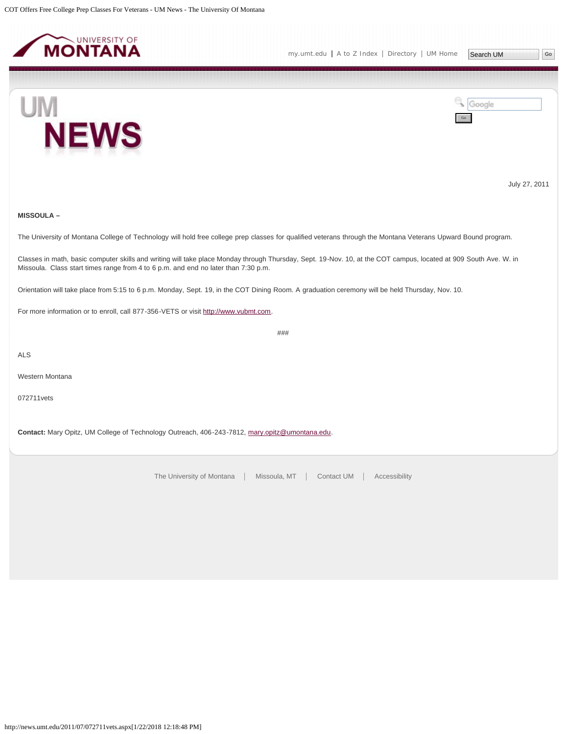<span id="page-4-0"></span>



July 27, 2011

## **MISSOULA –**

The University of Montana College of Technology will hold free college prep classes for qualified veterans through the Montana Veterans Upward Bound program.

Classes in math, basic computer skills and writing will take place Monday through Thursday, Sept. 19-Nov. 10, at the COT campus, located at 909 South Ave. W. in Missoula. Class start times range from 4 to 6 p.m. and end no later than 7:30 p.m.

Orientation will take place from 5:15 to 6 p.m. Monday, Sept. 19, in the COT Dining Room. A graduation ceremony will be held Thursday, Nov. 10.

For more information or to enroll, call 877-356-VETS or visit [http://www.vubmt.com](http://www.vubmt.com/).

###

ALS

Western Montana

072711vets

**Contact:** Mary Opitz, UM College of Technology Outreach, 406-243-7812, [mary.opitz@umontana.edu](mailto:mary.opitz@umontana.edu).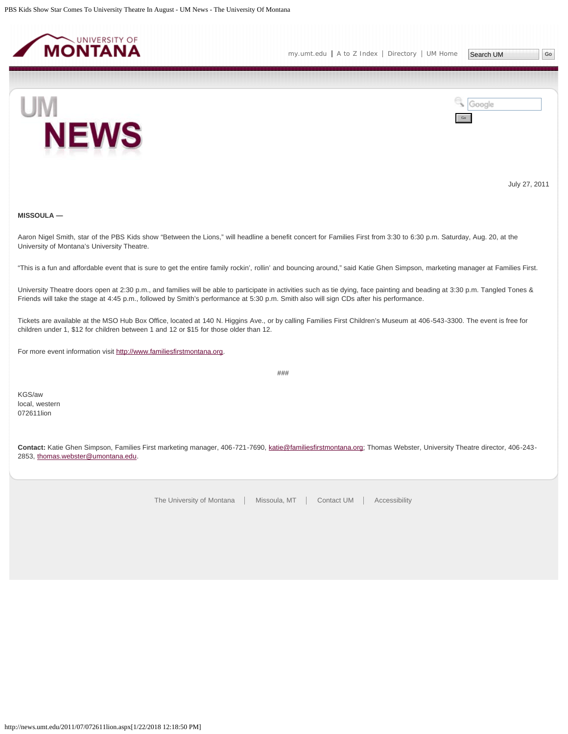<span id="page-5-0"></span>



July 27, 2011

# **MISSOULA —**

Aaron Nigel Smith, star of the PBS Kids show "Between the Lions," will headline a benefit concert for Families First from 3:30 to 6:30 p.m. Saturday, Aug. 20, at the University of Montana's University Theatre.

"This is a fun and affordable event that is sure to get the entire family rockin', rollin' and bouncing around," said Katie Ghen Simpson, marketing manager at Families First.

University Theatre doors open at 2:30 p.m., and families will be able to participate in activities such as tie dying, face painting and beading at 3:30 p.m. Tangled Tones & Friends will take the stage at 4:45 p.m., followed by Smith's performance at 5:30 p.m. Smith also will sign CDs after his performance.

Tickets are available at the MSO Hub Box Office, located at 140 N. Higgins Ave., or by calling Families First Children's Museum at 406-543-3300. The event is free for children under 1, \$12 for children between 1 and 12 or \$15 for those older than 12.

For more event information visit [http://www.familiesfirstmontana.org](http://www.familiesfirstmontana.org/).

###

KGS/aw local, western 072611lion

**Contact:** Katie Ghen Simpson, Families First marketing manager, 406-721-7690, [katie@familiesfirstmontana.org;](mailto:katie@familiesfirstmontana.org) Thomas Webster, University Theatre director, 406-243- 2853, [thomas.webster@umontana.edu](mailto:thomas.webster@umontana.edu).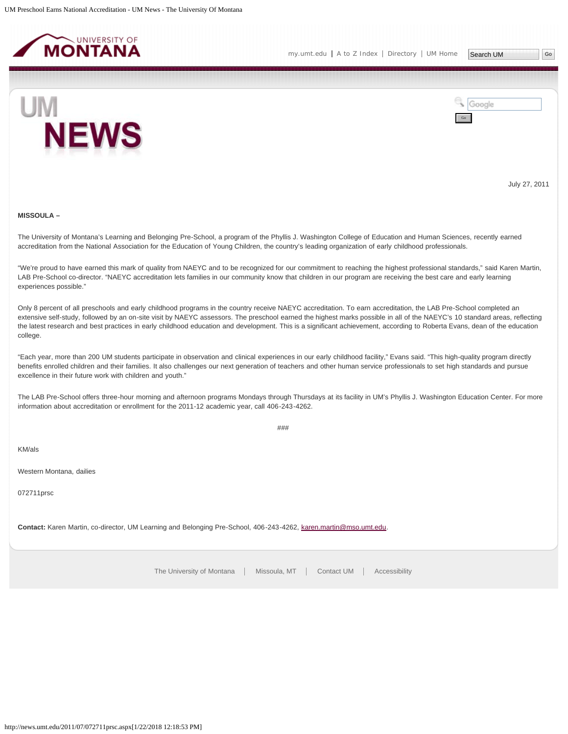<span id="page-6-0"></span>

Search UM



Google Go

July 27, 2011

#### **MISSOULA –**

The University of Montana's Learning and Belonging Pre-School, a program of the Phyllis J. Washington College of Education and Human Sciences, recently earned accreditation from the National Association for the Education of Young Children, the country's leading organization of early childhood professionals.

"We're proud to have earned this mark of quality from NAEYC and to be recognized for our commitment to reaching the highest professional standards," said Karen Martin, LAB Pre-School co-director. "NAEYC accreditation lets families in our community know that children in our program are receiving the best care and early learning experiences possible."

Only 8 percent of all preschools and early childhood programs in the country receive NAEYC accreditation. To earn accreditation, the LAB Pre-School completed an extensive self-study, followed by an on-site visit by NAEYC assessors. The preschool earned the highest marks possible in all of the NAEYC's 10 standard areas, reflecting the latest research and best practices in early childhood education and development. This is a significant achievement, according to Roberta Evans, dean of the education college.

"Each year, more than 200 UM students participate in observation and clinical experiences in our early childhood facility," Evans said. "This high-quality program directly benefits enrolled children and their families. It also challenges our next generation of teachers and other human service professionals to set high standards and pursue excellence in their future work with children and youth."

The LAB Pre-School offers three-hour morning and afternoon programs Mondays through Thursdays at its facility in UM's Phyllis J. Washington Education Center. For more information about accreditation or enrollment for the 2011-12 academic year, call 406-243-4262.

###

KM/als

Western Montana, dailies

072711prsc

**Contact:** Karen Martin, co-director, UM Learning and Belonging Pre-School, 406-243-4262, [karen.martin@mso.umt.edu.](mailto:karen.martin@mso.umt.edu)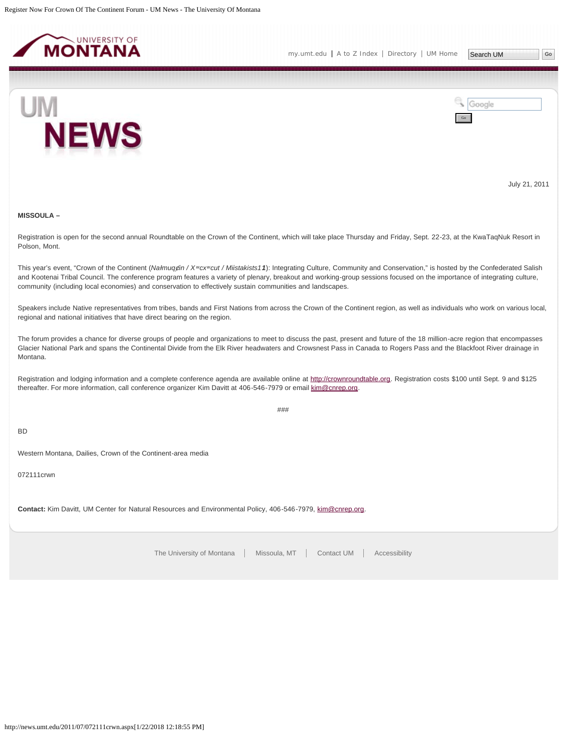<span id="page-7-0"></span>



July 21, 2011

## **MISSOULA –**

Registration is open for the second annual Roundtable on the Crown of the Continent, which will take place Thursday and Friday, Sept. 22-23, at the KwaTaqNuk Resort in Polson, Mont.

This year's event, "Crown of the Continent (Nałmuqgin / Xwcxwcut / Miistakists11): Integrating Culture, Community and Conservation," is hosted by the Confederated Salish and Kootenai Tribal Council. The conference program features a variety of plenary, breakout and working-group sessions focused on the importance of integrating culture, community (including local economies) and conservation to effectively sustain communities and landscapes.

Speakers include Native representatives from tribes, bands and First Nations from across the Crown of the Continent region, as well as individuals who work on various local, regional and national initiatives that have direct bearing on the region.

The forum provides a chance for diverse groups of people and organizations to meet to discuss the past, present and future of the 18 million-acre region that encompasses Glacier National Park and spans the Continental Divide from the Elk River headwaters and Crowsnest Pass in Canada to Rogers Pass and the Blackfoot River drainage in Montana.

Registration and lodging information and a complete conference agenda are available online at [http://crownroundtable.org](http://crownroundtable.org/). Registration costs \$100 until Sept. 9 and \$125 thereafter. For more information, call conference organizer Kim Davitt at 406-546-7979 or email [kim@cnrep.org](mailto:kim@cnrep.org).

###

BD

Western Montana, Dailies, Crown of the Continent-area media

072111crwn

**Contact:** Kim Davitt, UM Center for Natural Resources and Environmental Policy, 406-546-7979, [kim@cnrep.org.](mailto:kim@cnrep.org)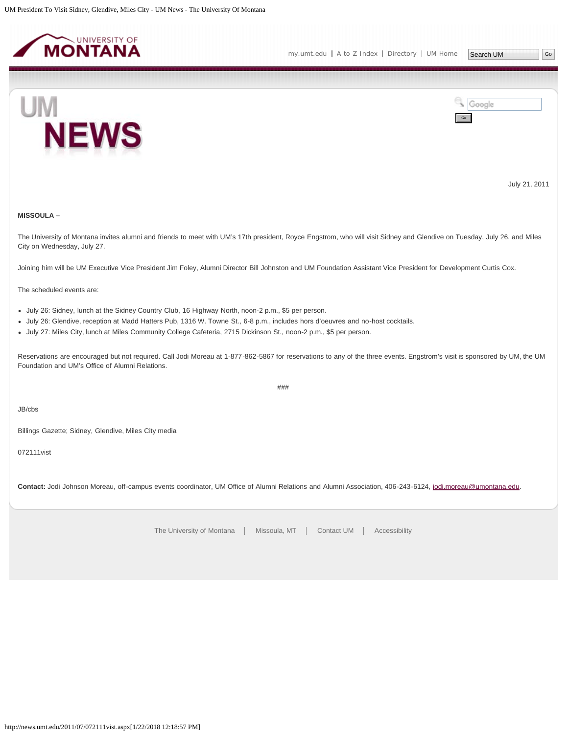<span id="page-8-0"></span>



July 21, 2011

# **MISSOULA –**

The University of Montana invites alumni and friends to meet with UM's 17th president, Royce Engstrom, who will visit Sidney and Glendive on Tuesday, July 26, and Miles City on Wednesday, July 27.

Joining him will be UM Executive Vice President Jim Foley, Alumni Director Bill Johnston and UM Foundation Assistant Vice President for Development Curtis Cox.

The scheduled events are:

- July 26: Sidney, lunch at the Sidney Country Club, 16 Highway North, noon-2 p.m., \$5 per person.
- July 26: Glendive, reception at Madd Hatters Pub, 1316 W. Towne St., 6-8 p.m., includes hors d'oeuvres and no-host cocktails.
- July 27: Miles City, lunch at Miles Community College Cafeteria, 2715 Dickinson St., noon-2 p.m., \$5 per person.

Reservations are encouraged but not required. Call Jodi Moreau at 1-877-862-5867 for reservations to any of the three events. Engstrom's visit is sponsored by UM, the UM Foundation and UM's Office of Alumni Relations.

###

JB/cbs

Billings Gazette; Sidney, Glendive, Miles City media

072111vist

Contact: Jodi Johnson Moreau, off-campus events coordinator, UM Office of Alumni Relations and Alumni Association, 406-243-6124, [jodi.moreau@umontana.edu.](mailto:jodi.moreau@umontana.edu)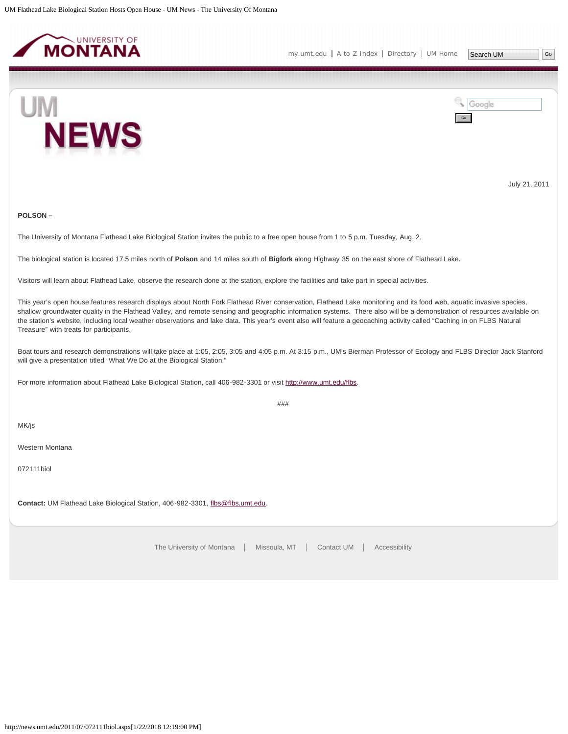<span id="page-9-0"></span>

Go

Google



July 21, 2011

#### **POLSON –**

The University of Montana Flathead Lake Biological Station invites the public to a free open house from 1 to 5 p.m. Tuesday, Aug. 2.

The biological station is located 17.5 miles north of **Polson** and 14 miles south of **Bigfork** along Highway 35 on the east shore of Flathead Lake.

Visitors will learn about Flathead Lake, observe the research done at the station, explore the facilities and take part in special activities.

This year's open house features research displays about North Fork Flathead River conservation, Flathead Lake monitoring and its food web, aquatic invasive species, shallow groundwater quality in the Flathead Valley, and remote sensing and geographic information systems. There also will be a demonstration of resources available on the station's website, including local weather observations and lake data. This year's event also will feature a geocaching activity called "Caching in on FLBS Natural Treasure" with treats for participants.

Boat tours and research demonstrations will take place at 1:05, 2:05, 3:05 and 4:05 p.m. At 3:15 p.m., UM's Bierman Professor of Ecology and FLBS Director Jack Stanford will give a presentation titled "What We Do at the Biological Station."

For more information about Flathead Lake Biological Station, call 406-982-3301 or visit [http://www.umt.edu/flbs.](http://www.umt.edu/flbs)

MK/js

Western Montana

072111biol

Contact: UM Flathead Lake Biological Station, 406-982-3301, [flbs@flbs.umt.edu.](mailto:flbs@flbs.umt.edu)

[The University of Montana](http://www.umt.edu/) | Missoula, MT | [Contact UM](http://www.umt.edu/comments) | [Accessibility](http://www.umt.edu/home/accessibility)

###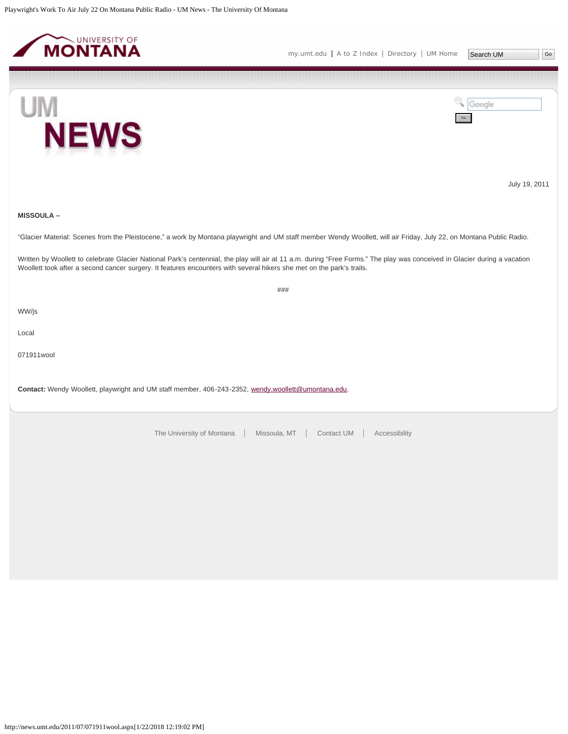<span id="page-10-0"></span>





Go

Google

July 19, 2011

#### **MISSOULA –**

"Glacier Material: Scenes from the Pleistocene," a work by Montana playwright and UM staff member Wendy Woollett, will air Friday, July 22, on Montana Public Radio.

Written by Woollett to celebrate Glacier National Park's centennial, the play will air at 11 a.m. during "Free Forms." The play was conceived in Glacier during a vacation Woollett took after a second cancer surgery. It features encounters with several hikers she met on the park's trails.

###

WW/js

Local

071911wool

**Contact:** Wendy Woollett, playwright and UM staff member, 406-243-2352, [wendy.woollett@umontana.edu.](mailto:wendy.woollett@umontana.edu)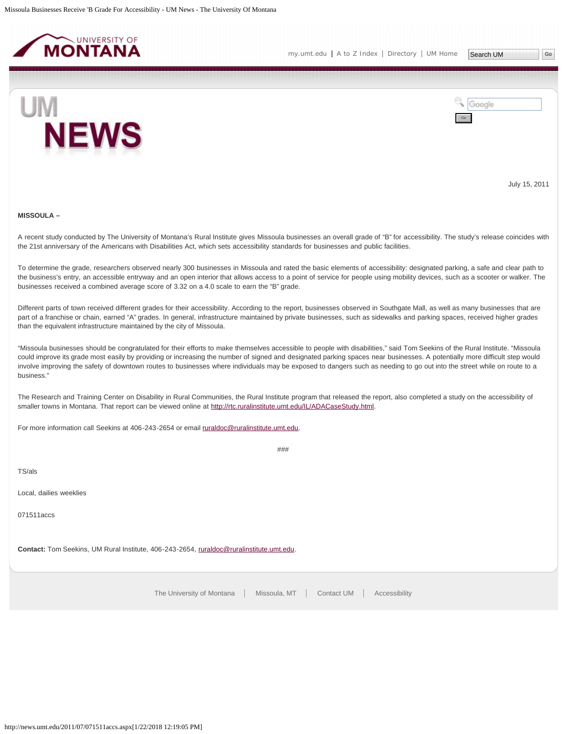<span id="page-11-0"></span>

[my.umt.edu](http://my.umt.edu/) | [A to Z Index](http://www.umt.edu/search/atoz/) | [Directory](http://www.umt.edu/directory/) | [UM Home](http://www.umt.edu/)



Google Go

July 15, 2011

#### **MISSOULA –**

A recent study conducted by The University of Montana's Rural Institute gives Missoula businesses an overall grade of "B" for accessibility. The study's release coincides with the 21st anniversary of the Americans with Disabilities Act, which sets accessibility standards for businesses and public facilities.

To determine the grade, researchers observed nearly 300 businesses in Missoula and rated the basic elements of accessibility: designated parking, a safe and clear path to the business's entry, an accessible entryway and an open interior that allows access to a point of service for people using mobility devices, such as a scooter or walker. The businesses received a combined average score of 3.32 on a 4.0 scale to earn the "B" grade.

Different parts of town received different grades for their accessibility. According to the report, businesses observed in Southgate Mall, as well as many businesses that are part of a franchise or chain, earned "A" grades. In general, infrastructure maintained by private businesses, such as sidewalks and parking spaces, received higher grades than the equivalent infrastructure maintained by the city of Missoula.

"Missoula businesses should be congratulated for their efforts to make themselves accessible to people with disabilities," said Tom Seekins of the Rural Institute. "Missoula could improve its grade most easily by providing or increasing the number of signed and designated parking spaces near businesses. A potentially more difficult step would involve improving the safety of downtown routes to businesses where individuals may be exposed to dangers such as needing to go out into the street while on route to a business."

The Research and Training Center on Disability in Rural Communities, the Rural Institute program that released the report, also completed a study on the accessibility of smaller towns in Montana. That report can be viewed online at [http://rtc.ruralinstitute.umt.edu/IL/ADACaseStudy.html.](http://rtc.ruralinstitute.umt.edu/IL/ADACaseStudy.html)

###

For more information call Seekins at 406-243-2654 or email [ruraldoc@ruralinstitute.umt.edu.](mailto:ruraldoc@ruralinstitute.umt.edu)

TS/als

Local, dailies weeklies

071511accs

**Contact:** Tom Seekins, UM Rural Institute, 406-243-2654, [ruraldoc@ruralinstitute.umt.edu.](mailto:ruraldoc@ruralinstitute.umt.edu)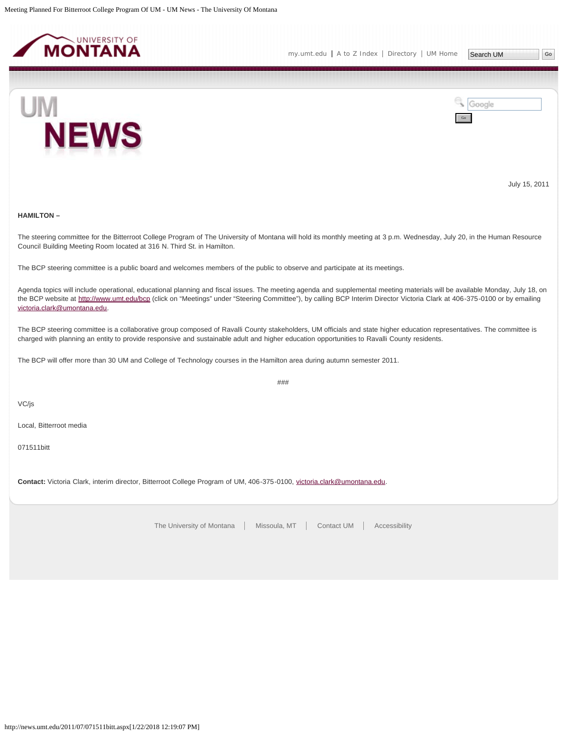<span id="page-12-0"></span>

[my.umt.edu](http://my.umt.edu/) | [A to Z Index](http://www.umt.edu/search/atoz/) | [Directory](http://www.umt.edu/directory/) | [UM Home](http://www.umt.edu/)



Google Go

July 15, 2011

## **HAMILTON –**

The steering committee for the Bitterroot College Program of The University of Montana will hold its monthly meeting at 3 p.m. Wednesday, July 20, in the Human Resource Council Building Meeting Room located at 316 N. Third St. in Hamilton.

The BCP steering committee is a public board and welcomes members of the public to observe and participate at its meetings.

Agenda topics will include operational, educational planning and fiscal issues. The meeting agenda and supplemental meeting materials will be available Monday, July 18, on the BCP website at <http://www.umt.edu/bcp>(click on "Meetings" under "Steering Committee"), by calling BCP Interim Director Victoria Clark at 406-375-0100 or by emailing [victoria.clark@umontana.edu](mailto:victoria.clark@umontana.edu).

The BCP steering committee is a collaborative group composed of Ravalli County stakeholders, UM officials and state higher education representatives. The committee is charged with planning an entity to provide responsive and sustainable adult and higher education opportunities to Ravalli County residents.

The BCP will offer more than 30 UM and College of Technology courses in the Hamilton area during autumn semester 2011.

###

VC/js

Local, Bitterroot media

071511bitt

**Contact:** Victoria Clark, interim director, Bitterroot College Program of UM, 406-375-0100, [victoria.clark@umontana.edu](mailto:victoria.clark@umontana.edu).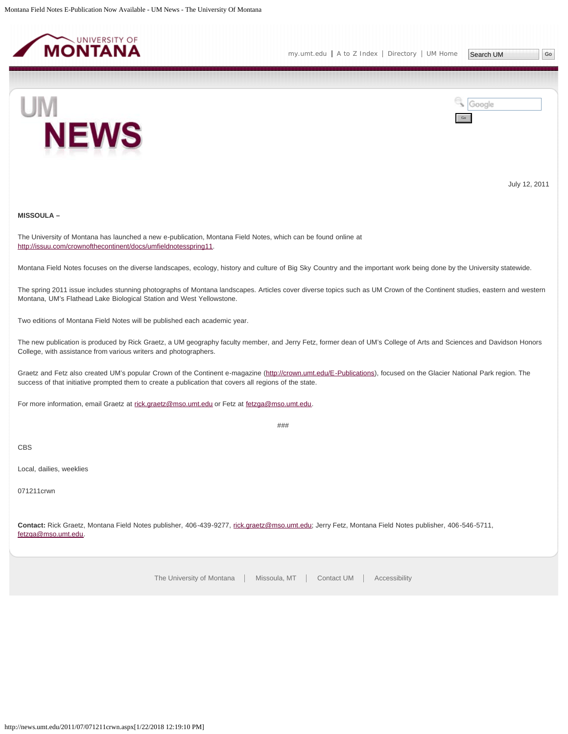<span id="page-13-0"></span>



July 12, 2011

# **MISSOULA –**

The University of Montana has launched a new e-publication, Montana Field Notes, which can be found online at <http://issuu.com/crownofthecontinent/docs/umfieldnotesspring11>.

Montana Field Notes focuses on the diverse landscapes, ecology, history and culture of Big Sky Country and the important work being done by the University statewide.

The spring 2011 issue includes stunning photographs of Montana landscapes. Articles cover diverse topics such as UM Crown of the Continent studies, eastern and western Montana, UM's Flathead Lake Biological Station and West Yellowstone.

Two editions of Montana Field Notes will be published each academic year.

The new publication is produced by Rick Graetz, a UM geography faculty member, and Jerry Fetz, former dean of UM's College of Arts and Sciences and Davidson Honors College, with assistance from various writers and photographers.

Graetz and Fetz also created UM's popular Crown of the Continent e-magazine ([http://crown.umt.edu/E-Publications\)](http://crown.umt.edu/E-Publications), focused on the Glacier National Park region. The success of that initiative prompted them to create a publication that covers all regions of the state.

For more information, email Graetz at [rick.graetz@mso.umt.edu](mailto:rick.graetz@mso.umt.edu) or Fetz at [fetzga@mso.umt.edu](mailto:fetzga@mso.umt.edu).

###

CBS

Local, dailies, weeklies

071211crwn

**Contact:** Rick Graetz, Montana Field Notes publisher, 406-439-9277, [rick.graetz@mso.umt.edu](mailto:rick.graetz@mso.umt.edu); Jerry Fetz, Montana Field Notes publisher, 406-546-5711, [fetzga@mso.umt.edu](mailto:fetzga@mso.umt.edu).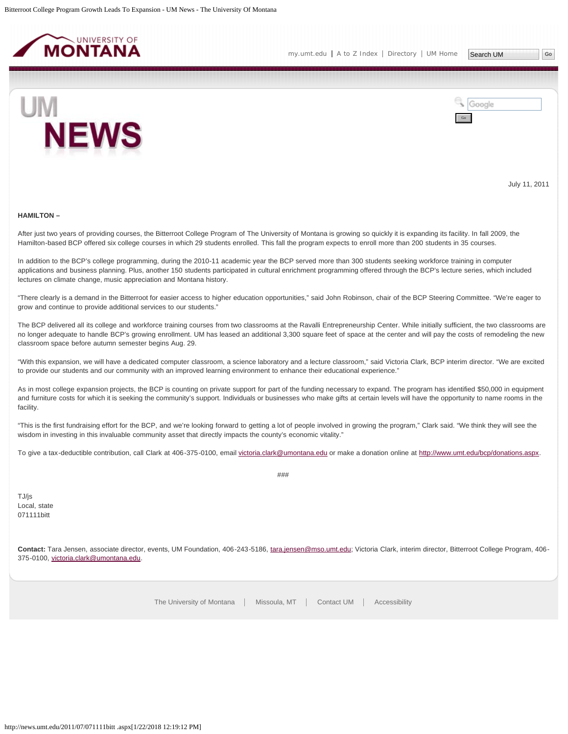<span id="page-14-0"></span>



July 11, 2011

#### **HAMILTON –**

After just two years of providing courses, the Bitterroot College Program of The University of Montana is growing so quickly it is expanding its facility. In fall 2009, the Hamilton-based BCP offered six college courses in which 29 students enrolled. This fall the program expects to enroll more than 200 students in 35 courses.

In addition to the BCP's college programming, during the 2010-11 academic year the BCP served more than 300 students seeking workforce training in computer applications and business planning. Plus, another 150 students participated in cultural enrichment programming offered through the BCP's lecture series, which included lectures on climate change, music appreciation and Montana history.

"There clearly is a demand in the Bitterroot for easier access to higher education opportunities," said John Robinson, chair of the BCP Steering Committee. "We're eager to grow and continue to provide additional services to our students."

The BCP delivered all its college and workforce training courses from two classrooms at the Ravalli Entrepreneurship Center. While initially sufficient, the two classrooms are no longer adequate to handle BCP's growing enrollment. UM has leased an additional 3,300 square feet of space at the center and will pay the costs of remodeling the new classroom space before autumn semester begins Aug. 29.

"With this expansion, we will have a dedicated computer classroom, a science laboratory and a lecture classroom," said Victoria Clark, BCP interim director. "We are excited to provide our students and our community with an improved learning environment to enhance their educational experience."

As in most college expansion projects, the BCP is counting on private support for part of the funding necessary to expand. The program has identified \$50,000 in equipment and furniture costs for which it is seeking the community's support. Individuals or businesses who make gifts at certain levels will have the opportunity to name rooms in the facility.

"This is the first fundraising effort for the BCP, and we're looking forward to getting a lot of people involved in growing the program," Clark said. "We think they will see the wisdom in investing in this invaluable community asset that directly impacts the county's economic vitality."

To give a tax-deductible contribution, call Clark at 406-375-0100, email [victoria.clark@umontana.edu](mailto:victoria.clark@umontana.edu) or make a donation online at<http://www.umt.edu/bcp/donations.aspx>.

###

TJ/js Local, state 071111bitt

**Contact:** Tara Jensen, associate director, events, UM Foundation, 406-243-5186, [tara.jensen@mso.umt.edu;](mailto:tara.jensen@mso.umt.edu) Victoria Clark, interim director, Bitterroot College Program, 406- 375-0100, [victoria.clark@umontana.edu.](mailto:victoria.clark@umontana.edu)